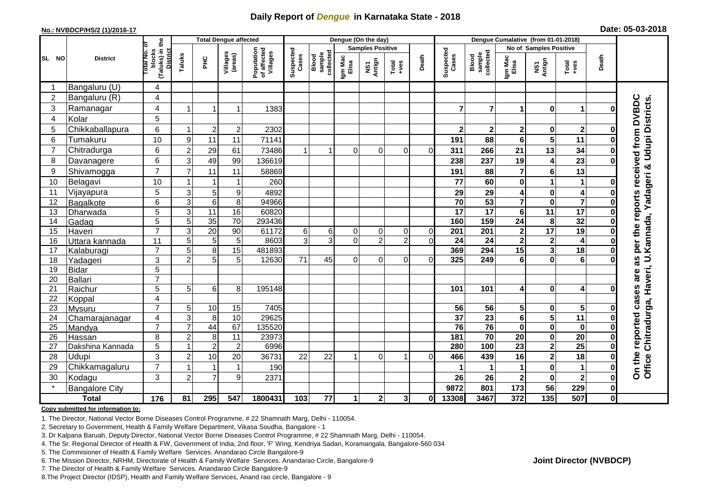## **Daily Report of** *Dengue* **in Karnataka State - 2018**

#### **No.: NVBDCP/HS/2 (1)/2016-17**

|  | Date: 05-03-2018 |  |
|--|------------------|--|
|--|------------------|--|

|                 |                       |                                                       | <b>Total Dengue affected</b> |                 |                 |                     | Dengue (On the day)                   |                    |                              |                         |                |                  | Dengue Cumalative (from 01-01-2018) |                    |                                    |                         |                         |               |                                                                                           |  |
|-----------------|-----------------------|-------------------------------------------------------|------------------------------|-----------------|-----------------|---------------------|---------------------------------------|--------------------|------------------------------|-------------------------|----------------|------------------|-------------------------------------|--------------------|------------------------------------|-------------------------|-------------------------|---------------|-------------------------------------------------------------------------------------------|--|
|                 |                       |                                                       |                              |                 |                 |                     |                                       |                    |                              | <b>Samples Positive</b> |                |                  |                                     |                    |                                    | No of Samples Positive  |                         |               |                                                                                           |  |
| SL NO           | <b>District</b>       | (Taluks) in the<br>Total No. of<br>blocks<br>District |                              | Taluks          | ЭHС             | Villages<br>(areas) | Population<br>of affected<br>Villages | Suspected<br>Cases | sample<br>collected<br>Blood | Igm Mac<br>Elisa        | NS1<br>Antign  | Total<br>$+ve$ s | Death                               | Suspected<br>Cases | sample<br>collected<br>Blood       | Igm Mac<br>Elisa        | NS1<br>Antign           | Total<br>+ves | Death                                                                                     |  |
|                 | Bangaluru (U)         | 4                                                     |                              |                 |                 |                     |                                       |                    |                              |                         |                |                  |                                     |                    |                                    |                         |                         |               |                                                                                           |  |
| $\overline{2}$  | Bangaluru (R)         | 4                                                     |                              |                 |                 |                     |                                       |                    |                              |                         |                |                  |                                     |                    |                                    |                         |                         |               |                                                                                           |  |
| 3               | Ramanagar             | 4                                                     |                              | 1               | 1               | 1383                |                                       |                    |                              |                         |                |                  | $\overline{7}$                      | $\overline{7}$     | 1                                  | $\bf{0}$                | 1                       |               | received from DVBDC<br>Office Chitradurga, Haveri, U.Kannada, Yadageri & Udupi Districts. |  |
| $\overline{4}$  | Kolar                 | 5                                                     |                              |                 |                 |                     |                                       |                    |                              |                         |                |                  |                                     |                    |                                    |                         |                         |               |                                                                                           |  |
| 5               | Chikkaballapura       | 6                                                     |                              | $\overline{2}$  | $\overline{c}$  | 2302                |                                       |                    |                              |                         |                |                  | $\mathbf{2}$                        | $\mathbf{2}$       | $\mathbf{2}$                       | 0                       | $\mathbf{2}$            | 0             |                                                                                           |  |
| 6               | Tumakuru              | 10                                                    | 9                            | 11              | 11              | 71141               |                                       |                    |                              |                         |                |                  | 191                                 | 88                 | $6\phantom{1}6$                    | 5                       | 11                      |               |                                                                                           |  |
| $\overline{7}$  | Chitradurga           | 6                                                     | $\overline{2}$               | 29              | 61              | 73486               | 1                                     | 1                  | 0                            | $\Omega$                | $\Omega$       | $\Omega$         | 311                                 | 266                | 21                                 | 13                      | 34                      |               |                                                                                           |  |
| 8               | Davanagere            | 6                                                     | 3                            | 49              | 99              | 136619              |                                       |                    |                              |                         |                |                  | 238                                 | 237                | 19                                 | $\overline{\mathbf{4}}$ | 23                      |               |                                                                                           |  |
| 9               | Shivamogga            | $\overline{7}$                                        | 7                            | 11              | 11              | 58869               |                                       |                    |                              |                         |                |                  | 191                                 | 88                 | $\overline{7}$                     | 6                       | 13                      |               |                                                                                           |  |
| 10              | Belagavi              | 10                                                    |                              | -1              | 1               | 260                 |                                       |                    |                              |                         |                |                  | 77                                  | 60                 | $\mathbf 0$                        | 1                       | 1                       |               |                                                                                           |  |
| 11              | Vijayapura            | 5                                                     | 3                            | $5\phantom{.0}$ | 9               | 4892                |                                       |                    |                              |                         |                |                  | 29                                  | 29                 | 4                                  | 0                       | 4                       |               |                                                                                           |  |
| 12              | Bagalkote             | 6                                                     | 3                            | $6 \mid$        | $\overline{8}$  | 94966               |                                       |                    |                              |                         |                |                  | 70                                  | 53                 | $\overline{\mathbf{7}}$            | $\mathbf 0$             | $\overline{\mathbf{7}}$ |               | per the reports                                                                           |  |
| 13              | Dharwada              | $\overline{5}$                                        | $\mathbf{3}$                 | $\overline{11}$ | 16              | 60820               |                                       |                    |                              |                         |                |                  | $\overline{17}$                     | $\overline{17}$    | $\overline{6}$                     | $\overline{11}$         | 17                      | U             |                                                                                           |  |
| 14              | Gadag                 | 5                                                     | 5                            | 35              | $\overline{70}$ | 293436              |                                       |                    |                              |                         |                |                  | 160                                 | 159                | 24                                 | 8                       | 32                      |               |                                                                                           |  |
| 15              | Haveri                | $\overline{7}$                                        | 3                            | 20              | 90              | 61172               | 6                                     | 6                  | 0                            | $\mathbf 0$             | $\overline{0}$ | $\Omega$         | 201                                 | 201                | $\boldsymbol{2}$                   | 17                      | 19                      |               |                                                                                           |  |
| 16              | Uttara kannada        | 11                                                    | 5                            | 5               | 5               | 8603                | 3                                     | 3                  | $\Omega$                     | $\overline{2}$          | $\overline{2}$ | $\Omega$         | 24                                  | $\overline{24}$    | $\overline{\mathbf{2}}$            | $\overline{\mathbf{2}}$ | 4                       |               |                                                                                           |  |
| 17              | Kalaburagi            | $\overline{7}$                                        | 5                            | 8               | 15              | 481893              |                                       |                    |                              |                         |                |                  | 369                                 | 294                | 15                                 | $\overline{\mathbf{3}}$ | $\overline{18}$         |               |                                                                                           |  |
| 18              | Yadageri              | 3                                                     | $\mathcal{P}$                | 5               | 5               | 12630               | 71                                    | 45                 | $\mathbf 0$                  | $\overline{0}$          | $\overline{0}$ | $\Omega$         | 325                                 | 249                | 6                                  | $\bf{0}$                | 6                       |               | as                                                                                        |  |
| 19              | <b>Bidar</b>          | 5                                                     |                              |                 |                 |                     |                                       |                    |                              |                         |                |                  |                                     |                    |                                    |                         |                         |               | are                                                                                       |  |
| 20              | Ballari               | $\overline{7}$                                        |                              |                 |                 |                     |                                       |                    |                              |                         |                |                  |                                     |                    |                                    |                         |                         |               |                                                                                           |  |
| 21              | Raichur               | 5                                                     | 5                            | $6 \,$          | 8               | 195148              |                                       |                    |                              |                         |                |                  | 101                                 | 101                | 4                                  | $\mathbf 0$             | 4                       |               |                                                                                           |  |
| 22              | Koppal                | 4                                                     |                              |                 |                 |                     |                                       |                    |                              |                         |                |                  |                                     |                    |                                    |                         |                         |               |                                                                                           |  |
| 23              | <b>Mysuru</b>         | $\overline{7}$                                        | 5                            | 10              | 15              | 7405                |                                       |                    |                              |                         |                |                  | 56                                  | 56                 | 5                                  | $\bf{0}$                | 5                       |               |                                                                                           |  |
| $\overline{24}$ | Chamarajanagar        | 4                                                     | 3                            | 8               | 10              | 29625               |                                       |                    |                              |                         |                |                  | $\overline{37}$                     | 23                 | $\overline{\mathbf{6}}$            | $\overline{5}$          | $\overline{11}$         |               | reported cases                                                                            |  |
| 25              | Mandya                | $\overline{7}$                                        | $\overline{7}$               | 44              | 67              | 135520              |                                       |                    |                              |                         |                |                  | 76                                  | 76                 | $\pmb{0}$                          | $\pmb{0}$               | $\mathbf 0$             | 0             |                                                                                           |  |
| 26              | Hassan                | 8                                                     | $\overline{2}$               | 8               | 11              | 23973               |                                       |                    |                              |                         |                |                  | 181                                 | 70<br>100          | $\overline{20}$<br>$\overline{23}$ | $\bf{0}$                | $\overline{20}$<br>25   | 0             |                                                                                           |  |
| 27              | Dakshina Kannada      | 5                                                     |                              | $\overline{2}$  | $\overline{2}$  | 6996                |                                       |                    |                              |                         |                |                  | 280                                 |                    |                                    | $\boldsymbol{2}$        |                         | 0             |                                                                                           |  |
| 28              | Udupi                 | 3                                                     | $\overline{2}$               | 10              | 20              | 36731               | 22                                    | 22                 |                              | $\Omega$                |                | $\Omega$         | 466                                 | 439                | 16                                 | $\overline{2}$          | 18                      | o             |                                                                                           |  |
| 29              | Chikkamagaluru        | $\overline{7}$                                        |                              | -1              | 1               | 190                 |                                       |                    |                              |                         |                |                  |                                     | 1                  | 1                                  | $\bf{0}$                | 1                       | O             | On the                                                                                    |  |
| 30              | Kodagu                | 3                                                     | $\overline{2}$               | $\overline{7}$  | 9               | 2371                |                                       |                    |                              |                         |                |                  | 26                                  | 26                 | $\overline{\mathbf{c}}$            | 0                       | $\mathbf{2}$            | 0             |                                                                                           |  |
| $\star$         | <b>Bangalore City</b> |                                                       |                              |                 |                 |                     |                                       |                    |                              |                         |                |                  | 9872                                | 801                | 173                                | 56                      | 229                     | $\mathbf{0}$  |                                                                                           |  |
|                 | <b>Total</b>          | $\frac{1}{176}$                                       | 81                           | 295             | 547             | 1800431             | 103                                   | 77                 | 1                            | $\mathbf{2}$            | $\mathbf{3}$   | $\bf{0}$         | 13308                               | 3467               | 372                                | 135                     | 507                     | $\mathbf{0}$  |                                                                                           |  |

#### **Copy submitted for information to:**

1. The Director, National Vector Borne Diseases Control Programme, # 22 Shamnath Marg, Delhi - 110054.

2. Secretary to Government, Health & Family Welfare Department, Vikasa Soudha, Bangalore - 1

3. Dr Kalpana Baruah, Deputy Director, National Vector Borne Diseases Control Programme, # 22 Shamnath Marg, Delhi - 110054.

4. The Sr. Regional Director of Health & FW, Government of India, 2nd floor, 'F' Wing, Kendriya Sadan, Koramangala, Bangalore-560 034

5. The Commisioner of Health & Family Welfare Services. Anandarao Circle Bangalore-9

6. The Mission Director, NRHM, Directorate of Health & Family Welfare Services. Anandarao Circle, Bangalore-9

7. The Director of Health & Family Welfare Services. Anandarao Circle Bangalore-9

8.The Project Director (IDSP), Health and Family Welfare Services, Anand rao circle, Bangalore - 9